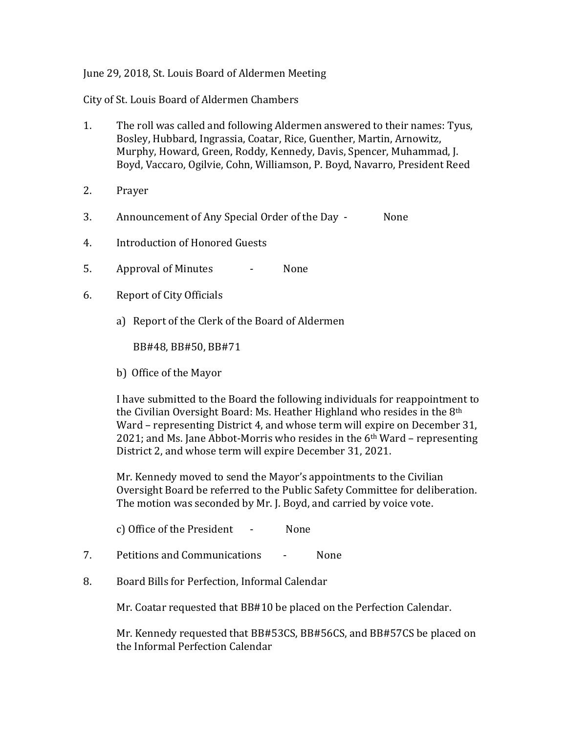## June 29, 2018, St. Louis Board of Aldermen Meeting

City of St. Louis Board of Aldermen Chambers

- 1. The roll was called and following Aldermen answered to their names: Tyus, Bosley, Hubbard, Ingrassia, Coatar, Rice, Guenther, Martin, Arnowitz, Murphy, Howard, Green, Roddy, Kennedy, Davis, Spencer, Muhammad, J. Boyd, Vaccaro, Ogilvie, Cohn, Williamson, P. Boyd, Navarro, President Reed
- 2. Prayer
- 3. Announcement of Any Special Order of the Day None
- 4. Introduction of Honored Guests
- 5. Approval of Minutes None
- 6. Report of City Officials
	- a) Report of the Clerk of the Board of Aldermen

BB#48, BB#50, BB#71

b) Office of the Mayor

I have submitted to the Board the following individuals for reappointment to the Civilian Oversight Board: Ms. Heather Highland who resides in the 8th Ward – representing District 4, and whose term will expire on December 31, 2021; and Ms. Jane Abbot-Morris who resides in the  $6<sup>th</sup>$  Ward – representing District 2, and whose term will expire December 31, 2021.

Mr. Kennedy moved to send the Mayor's appointments to the Civilian Oversight Board be referred to the Public Safety Committee for deliberation. The motion was seconded by Mr. J. Boyd, and carried by voice vote.

c) Office of the President - None

- 7. Petitions and Communications None
- 8. Board Bills for Perfection, Informal Calendar

Mr. Coatar requested that BB#10 be placed on the Perfection Calendar.

Mr. Kennedy requested that BB#53CS, BB#56CS, and BB#57CS be placed on the Informal Perfection Calendar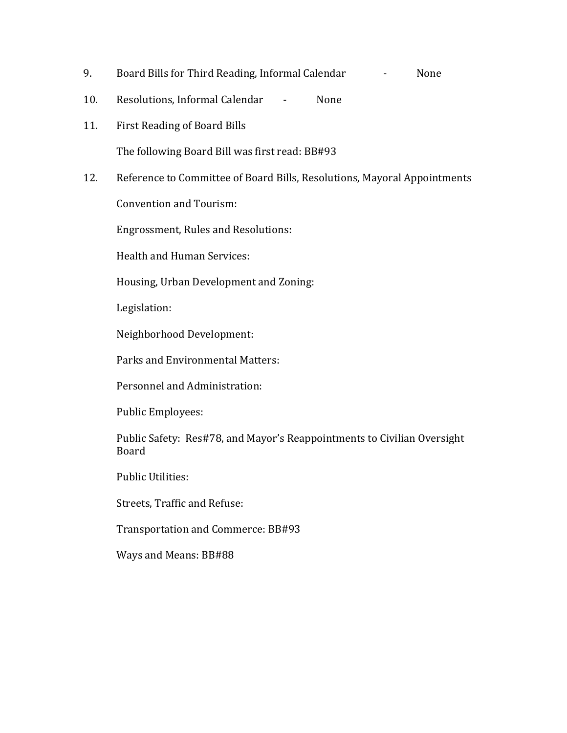- 9. Board Bills for Third Reading, Informal Calendar Flore Rone
- 10. Resolutions, Informal Calendar None
- 11. First Reading of Board Bills

The following Board Bill was first read: BB#93

12. Reference to Committee of Board Bills, Resolutions, Mayoral Appointments

Convention and Tourism:

Engrossment, Rules and Resolutions:

Health and Human Services:

Housing, Urban Development and Zoning:

Legislation:

Neighborhood Development:

Parks and Environmental Matters:

Personnel and Administration:

Public Employees:

Public Safety: Res#78, and Mayor's Reappointments to Civilian Oversight Board

Public Utilities:

Streets, Traffic and Refuse:

Transportation and Commerce: BB#93

Ways and Means: BB#88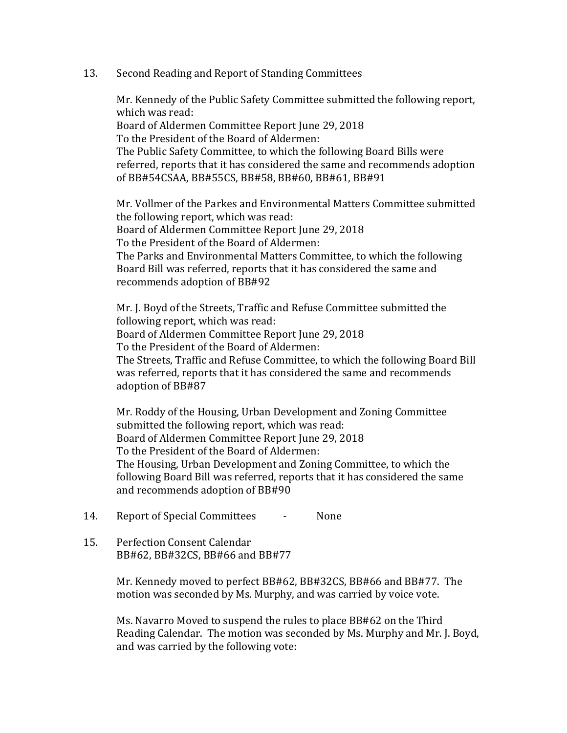## 13. Second Reading and Report of Standing Committees

Mr. Kennedy of the Public Safety Committee submitted the following report, which was read: Board of Aldermen Committee Report June 29, 2018 To the President of the Board of Aldermen: The Public Safety Committee, to which the following Board Bills were referred, reports that it has considered the same and recommends adoption of BB#54CSAA, BB#55CS, BB#58, BB#60, BB#61, BB#91

Mr. Vollmer of the Parkes and Environmental Matters Committee submitted the following report, which was read: Board of Aldermen Committee Report June 29, 2018 To the President of the Board of Aldermen: The Parks and Environmental Matters Committee, to which the following Board Bill was referred, reports that it has considered the same and recommends adoption of BB#92

Mr. J. Boyd of the Streets, Traffic and Refuse Committee submitted the following report, which was read: Board of Aldermen Committee Report June 29, 2018 To the President of the Board of Aldermen: The Streets, Traffic and Refuse Committee, to which the following Board Bill was referred, reports that it has considered the same and recommends adoption of BB#87

Mr. Roddy of the Housing, Urban Development and Zoning Committee submitted the following report, which was read: Board of Aldermen Committee Report June 29, 2018 To the President of the Board of Aldermen: The Housing, Urban Development and Zoning Committee, to which the following Board Bill was referred, reports that it has considered the same and recommends adoption of BB#90

- 14. Report of Special Committees None
- 15. Perfection Consent Calendar BB#62, BB#32CS, BB#66 and BB#77

Mr. Kennedy moved to perfect BB#62, BB#32CS, BB#66 and BB#77. The motion was seconded by Ms. Murphy, and was carried by voice vote.

Ms. Navarro Moved to suspend the rules to place BB#62 on the Third Reading Calendar. The motion was seconded by Ms. Murphy and Mr. J. Boyd, and was carried by the following vote: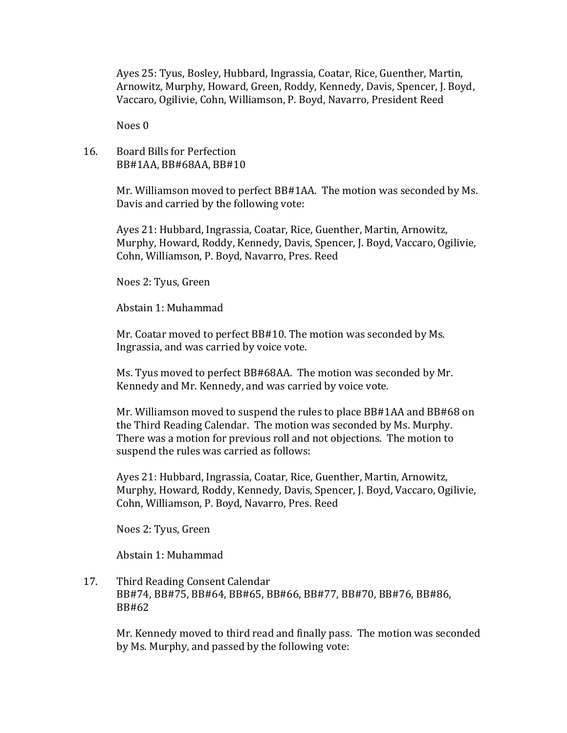Ayes 25: Tyus, Bosley, Hubbard, Ingrassia, Coatar, Rice, Guenther, Martin, Arnowitz, Murphy, Howard, Green, Roddy, Kennedy, Davis, Spencer, J. Boyd, Vaccaro, Ogilivie, Cohn, Williamson, P. Boyd, Navarro, President Reed

Noes 0

## 16. Board Bills for Perfection BB#1AA, BB#68AA, BB#10

Mr. Williamson moved to perfect BB#1AA. The motion was seconded by Ms. Davis and carried by the following vote:

Ayes 21: Hubbard, Ingrassia, Coatar, Rice, Guenther, Martin, Arnowitz, Murphy, Howard, Roddy, Kennedy, Davis, Spencer, J. Boyd, Vaccaro, Ogilivie, Cohn, Williamson, P. Boyd, Navarro, Pres. Reed

Noes 2: Tyus, Green

Abstain 1: Muhammad

Mr. Coatar moved to perfect BB#10. The motion was seconded by Ms. Ingrassia, and was carried by voice vote.

Ms. Tyus moved to perfect BB#68AA. The motion was seconded by Mr. Kennedy and Mr. Kennedy, and was carried by voice vote.

Mr. Williamson moved to suspend the rules to place BB#1AA and BB#68 on the Third Reading Calendar. The motion was seconded by Ms. Murphy. There was a motion for previous roll and not objections. The motion to suspend the rules was carried as follows:

Ayes 21: Hubbard, Ingrassia, Coatar, Rice, Guenther, Martin, Arnowitz, Murphy, Howard, Roddy, Kennedy, Davis, Spencer, J. Boyd, Vaccaro, Ogilivie, Cohn, Williamson, P. Boyd, Navarro, Pres. Reed

Noes 2: Tyus, Green

Abstain 1: Muhammad

17. Third Reading Consent Calendar BB#74, BB#75, BB#64, BB#65, BB#66, BB#77, BB#70, BB#76, BB#86, BB#62

Mr. Kennedy moved to third read and finally pass. The motion was seconded by Ms. Murphy, and passed by the following vote: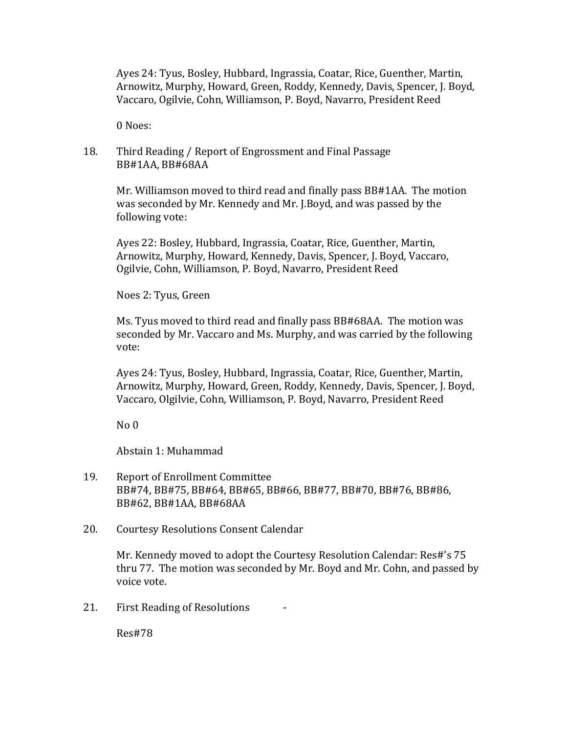Ayes 24: Tyus, Bosley, Hubbard, Ingrassia, Coatar, Rice, Guenther, Martin, Arnowitz, Murphy, Howard, Green, Roddy, Kennedy, Davis, Spencer, J. Boyd, Vaccaro, Ogilvie, Cohn, Williamson, P. Boyd, Navarro, President Reed

0 Noes:

## 18. Third Reading / Report of Engrossment and Final Passage BB#1AA, BB#68AA

Mr. Williamson moved to third read and finally pass BB#1AA. The motion was seconded by Mr. Kennedy and Mr. J.Boyd, and was passed by the following vote:

Ayes 22: Bosley, Hubbard, Ingrassia, Coatar, Rice, Guenther, Martin, Arnowitz, Murphy, Howard, Kennedy, Davis, Spencer, J. Boyd, Vaccaro, Ogilvie, Cohn, Williamson, P. Boyd, Navarro, President Reed

Noes 2: Tyus, Green

Ms. Tyus moved to third read and finally pass BB#68AA. The motion was seconded by Mr. Vaccaro and Ms. Murphy, and was carried by the following vote:

Ayes 24: Tyus, Bosley, Hubbard, Ingrassia, Coatar, Rice, Guenther, Martin, Arnowitz, Murphy, Howard, Green, Roddy, Kennedy, Davis, Spencer, J. Boyd, Vaccaro, Olgilvie, Cohn, Williamson, P. Boyd, Navarro, President Reed

No 0

Abstain 1: Muhammad

- 19. Report of Enrollment Committee BB#74, BB#75, BB#64, BB#65, BB#66, BB#77, BB#70, BB#76, BB#86, BB#62, BB#1AA, BB#68AA
- 20. Courtesy Resolutions Consent Calendar

Mr. Kennedy moved to adopt the Courtesy Resolution Calendar: Res#'s 75 thru 77. The motion was seconded by Mr. Boyd and Mr. Cohn, and passed by voice vote.

21. First Reading of Resolutions

Res#78